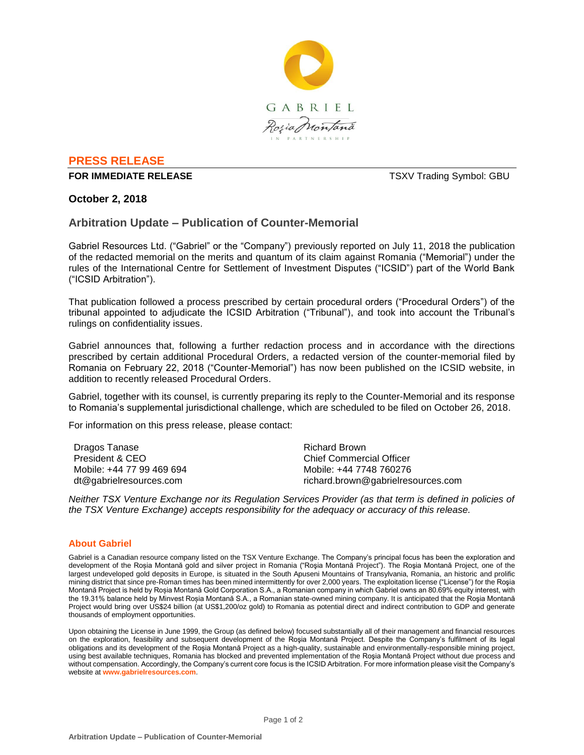

# **PRESS RELEASE**

#### **FOR IMMEDIATE RELEASE TO A 2009 TO A 2009 TO A 2009 TO A 2009 TO A 2009 TO A 2009 TO A 2009 TO A 2009 TO A 2009 TO A 2009 TO A 2009 TO A 2009 TO A 2009 TO A 2009 TO A 2009 TO A 2009 TO A 2009 TO A 2009 TO A 2009 TO A 20**

### **October 2, 2018**

## **Arbitration Update – Publication of Counter-Memorial**

Gabriel Resources Ltd. ("Gabriel" or the "Company") previously reported on July 11, 2018 the publication of the redacted memorial on the merits and quantum of its claim against Romania ("Memorial") under the rules of the International Centre for Settlement of Investment Disputes ("ICSID") part of the World Bank ("ICSID Arbitration").

That publication followed a process prescribed by certain procedural orders ("Procedural Orders") of the tribunal appointed to adjudicate the ICSID Arbitration ("Tribunal"), and took into account the Tribunal's rulings on confidentiality issues.

Gabriel announces that, following a further redaction process and in accordance with the directions prescribed by certain additional Procedural Orders, a redacted version of the counter-memorial filed by Romania on February 22, 2018 ("Counter-Memorial") has now been published on the ICSID website, in addition to recently released Procedural Orders.

Gabriel, together with its counsel, is currently preparing its reply to the Counter-Memorial and its response to Romania's supplemental jurisdictional challenge, which are scheduled to be filed on October 26, 2018.

For information on this press release, please contact:

| Dragos Tanase             | Richard Brown                      |
|---------------------------|------------------------------------|
| President & CEO           | Chief Commercial Officer           |
| Mobile: +44 77 99 469 694 | Mobile: +44 7748 760276            |
| dt@gabrielresources.com   | richard.brown@gabrielresources.com |

*Neither TSX Venture Exchange nor its Regulation Services Provider (as that term is defined in policies of the TSX Venture Exchange) accepts responsibility for the adequacy or accuracy of this release.*

#### **About Gabriel**

Gabriel is a Canadian resource company listed on the TSX Venture Exchange. The Company's principal focus has been the exploration and development of the Roșia Montană gold and silver project in Romania ("Roşia Montană Project"). The Roşia Montană Project, one of the largest undeveloped gold deposits in Europe, is situated in the South Apuseni Mountains of Transylvania, Romania, an historic and prolific mining district that since pre-Roman times has been mined intermittently for over 2,000 years. The exploitation license ("License") for the Roşia Montană Project is held by Roșia Montană Gold Corporation S.A., a Romanian company in which Gabriel owns an 80.69% equity interest, with the 19.31% balance held by Minvest Roșia Montană S.A., a Romanian state-owned mining company. It is anticipated that the Roşia Montană Project would bring over US\$24 billion (at US\$1,200/oz gold) to Romania as potential direct and indirect contribution to GDP and generate thousands of employment opportunities.

Upon obtaining the License in June 1999, the Group (as defined below) focused substantially all of their management and financial resources on the exploration, feasibility and subsequent development of the Roşia Montană Project. Despite the Company's fulfilment of its legal obligations and its development of the Roşia Montană Project as a high-quality, sustainable and environmentally-responsible mining project, using best available techniques, Romania has blocked and prevented implementation of the Roşia Montană Project without due process and without compensation. Accordingly, the Company's current core focus is the ICSID Arbitration. For more information please visit the Company's website at **www.gabrielresources.com**.